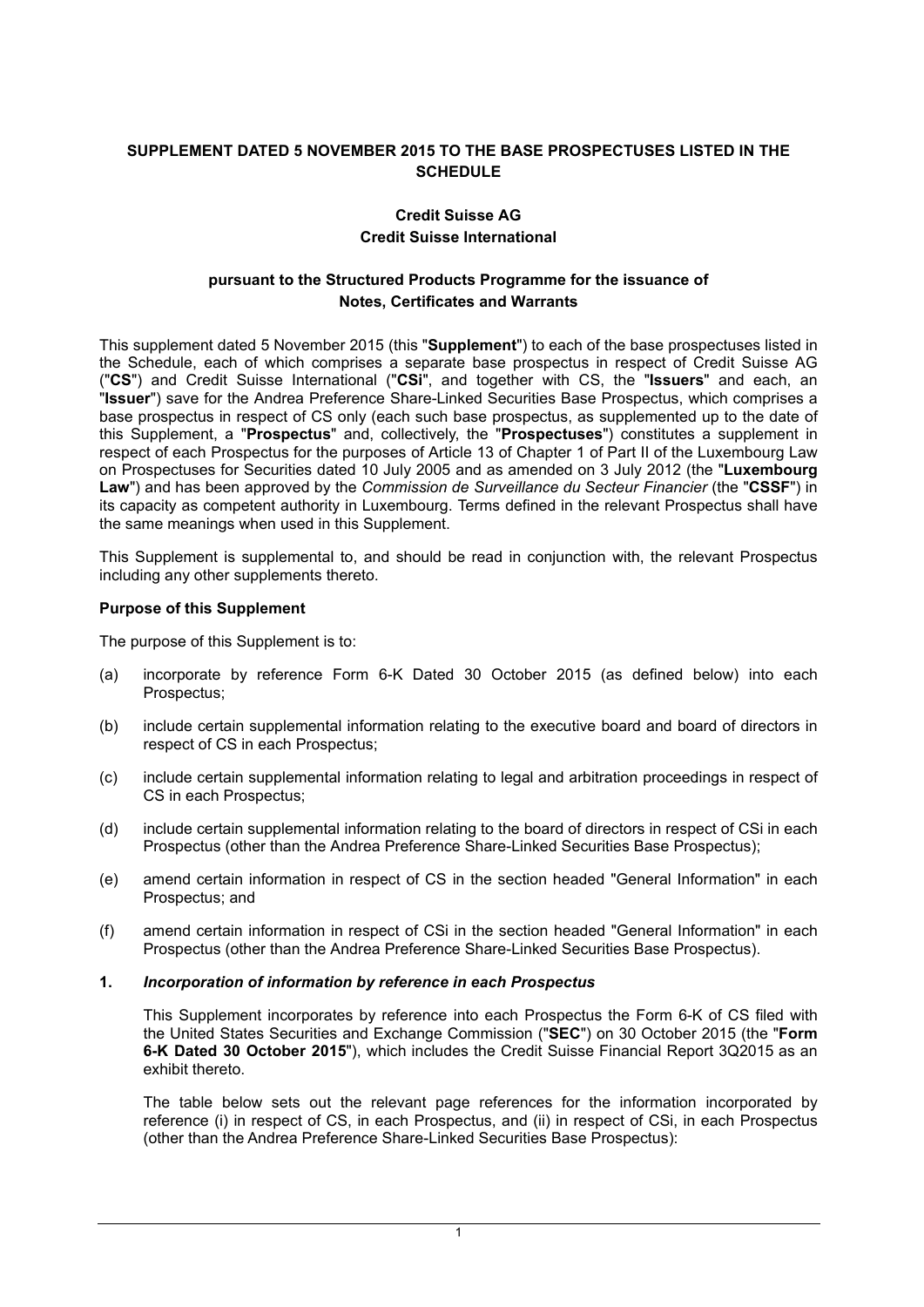# **SUPPLEMENT DATED 5 NOVEMBER 2015 TO THE BASE PROSPECTUSES LISTED IN THE SCHEDULE**

# **Credit Suisse AG Credit Suisse International**

# **pursuant to the Structured Products Programme for the issuance of Notes, Certificates and Warrants**

This supplement dated 5 November 2015 (this "**Supplement**") to each of the base prospectuses listed in the Schedule, each of which comprises a separate base prospectus in respect of Credit Suisse AG ("**CS**") and Credit Suisse International ("**CSi**", and together with CS, the "**Issuers**" and each, an "**Issuer**") save for the Andrea Preference Share-Linked Securities Base Prospectus, which comprises a base prospectus in respect of CS only (each such base prospectus, as supplemented up to the date of this Supplement, a "**Prospectus**" and, collectively, the "**Prospectuses**") constitutes a supplement in respect of each Prospectus for the purposes of Article 13 of Chapter 1 of Part II of the Luxembourg Law on Prospectuses for Securities dated 10 July 2005 and as amended on 3 July 2012 (the "**Luxembourg Law**") and has been approved by the *Commission de Surveillance du Secteur Financier* (the "**CSSF**") in its capacity as competent authority in Luxembourg. Terms defined in the relevant Prospectus shall have the same meanings when used in this Supplement.

This Supplement is supplemental to, and should be read in conjunction with, the relevant Prospectus including any other supplements thereto.

## **Purpose of this Supplement**

The purpose of this Supplement is to:

- (a) incorporate by reference Form 6-K Dated 30 October 2015 (as defined below) into each Prospectus;
- (b) include certain supplemental information relating to the executive board and board of directors in respect of CS in each Prospectus;
- (c) include certain supplemental information relating to legal and arbitration proceedings in respect of CS in each Prospectus;
- (d) include certain supplemental information relating to the board of directors in respect of CSi in each Prospectus (other than the Andrea Preference Share-Linked Securities Base Prospectus);
- (e) amend certain information in respect of CS in the section headed "General Information" in each Prospectus; and
- (f) amend certain information in respect of CSi in the section headed "General Information" in each Prospectus (other than the Andrea Preference Share-Linked Securities Base Prospectus).

## **1.** *Incorporation of information by reference in each Prospectus*

This Supplement incorporates by reference into each Prospectus the Form 6-K of CS filed with the United States Securities and Exchange Commission ("**SEC**") on 30 October 2015 (the "**Form 6-K Dated 30 October 2015**"), which includes the Credit Suisse Financial Report 3Q2015 as an exhibit thereto.

The table below sets out the relevant page references for the information incorporated by reference (i) in respect of CS, in each Prospectus, and (ii) in respect of CSi, in each Prospectus (other than the Andrea Preference Share-Linked Securities Base Prospectus):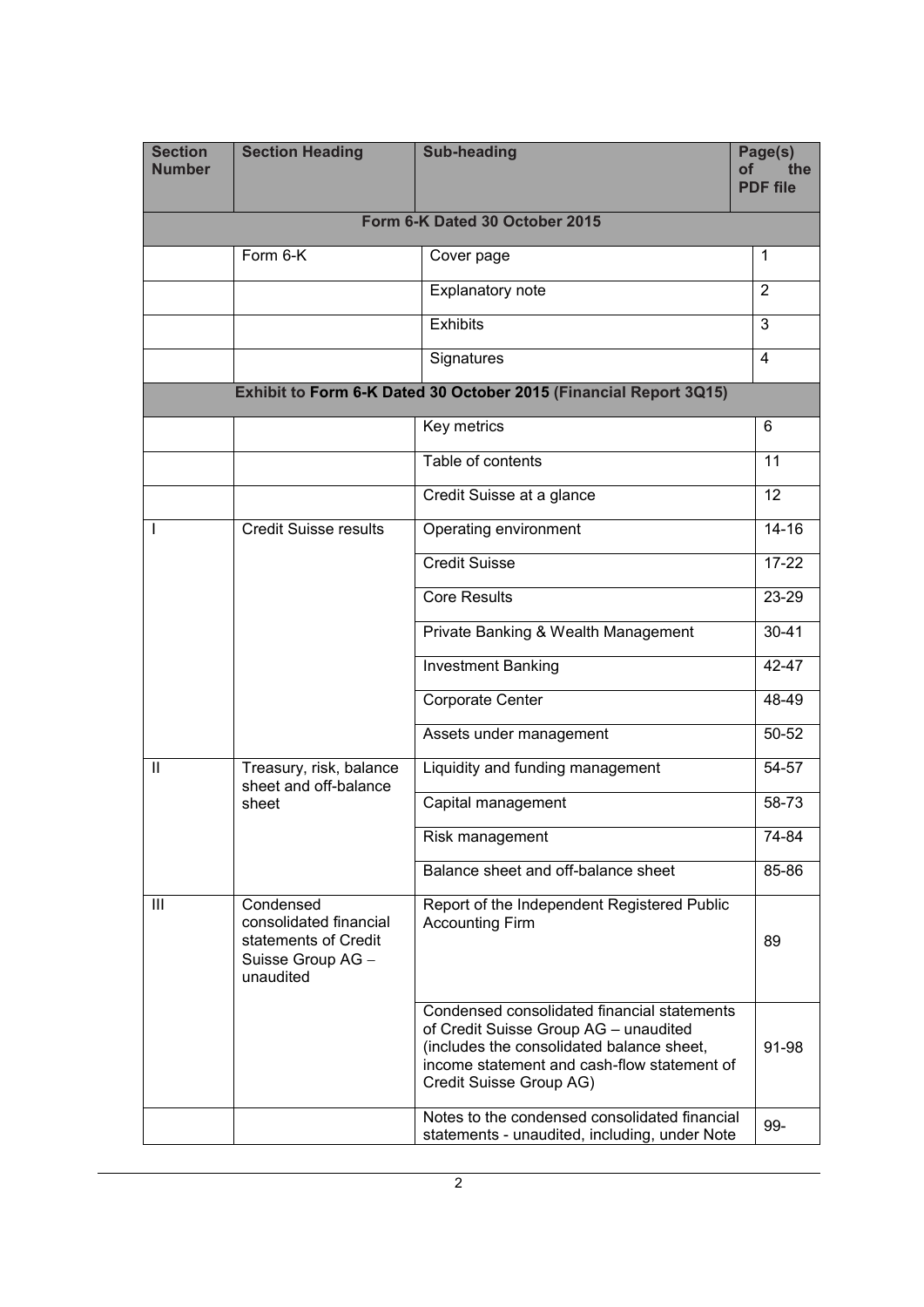| <b>Section</b><br><b>Number</b>                                   | <b>Section Heading</b>                                                                        | <b>Sub-heading</b>                                                                                                                                                                                          | Page(s)<br>оf<br>the<br><b>PDF</b> file |  |
|-------------------------------------------------------------------|-----------------------------------------------------------------------------------------------|-------------------------------------------------------------------------------------------------------------------------------------------------------------------------------------------------------------|-----------------------------------------|--|
| Form 6-K Dated 30 October 2015                                    |                                                                                               |                                                                                                                                                                                                             |                                         |  |
|                                                                   | Form 6-K                                                                                      | Cover page                                                                                                                                                                                                  | $\mathbf{1}$                            |  |
|                                                                   |                                                                                               | <b>Explanatory note</b>                                                                                                                                                                                     | $\overline{2}$                          |  |
|                                                                   |                                                                                               | <b>Exhibits</b>                                                                                                                                                                                             | 3                                       |  |
|                                                                   |                                                                                               | Signatures                                                                                                                                                                                                  | $\overline{4}$                          |  |
| Exhibit to Form 6-K Dated 30 October 2015 (Financial Report 3Q15) |                                                                                               |                                                                                                                                                                                                             |                                         |  |
|                                                                   |                                                                                               | Key metrics                                                                                                                                                                                                 | 6                                       |  |
|                                                                   |                                                                                               | Table of contents                                                                                                                                                                                           | 11                                      |  |
|                                                                   |                                                                                               | Credit Suisse at a glance                                                                                                                                                                                   | 12                                      |  |
|                                                                   | <b>Credit Suisse results</b>                                                                  | Operating environment                                                                                                                                                                                       | $14 - 16$                               |  |
|                                                                   |                                                                                               | <b>Credit Suisse</b>                                                                                                                                                                                        | $17 - 22$                               |  |
|                                                                   |                                                                                               | <b>Core Results</b>                                                                                                                                                                                         | 23-29                                   |  |
|                                                                   |                                                                                               | Private Banking & Wealth Management                                                                                                                                                                         | $30 - 41$                               |  |
|                                                                   |                                                                                               | <b>Investment Banking</b>                                                                                                                                                                                   | 42-47                                   |  |
|                                                                   |                                                                                               | Corporate Center                                                                                                                                                                                            | 48-49                                   |  |
|                                                                   |                                                                                               | Assets under management                                                                                                                                                                                     | 50-52                                   |  |
| $\mathbf{H}$                                                      | Treasury, risk, balance<br>sheet and off-balance<br>sheet                                     | Liquidity and funding management                                                                                                                                                                            | 54-57                                   |  |
|                                                                   |                                                                                               | Capital management                                                                                                                                                                                          | 58-73                                   |  |
|                                                                   |                                                                                               | Risk management                                                                                                                                                                                             | $\overline{7}$ 4-84                     |  |
|                                                                   |                                                                                               | Balance sheet and off-balance sheet                                                                                                                                                                         | 85-86                                   |  |
| Ш                                                                 | Condensed<br>consolidated financial<br>statements of Credit<br>Suisse Group AG -<br>unaudited | Report of the Independent Registered Public<br><b>Accounting Firm</b>                                                                                                                                       | 89                                      |  |
|                                                                   |                                                                                               | Condensed consolidated financial statements<br>of Credit Suisse Group AG - unaudited<br>(includes the consolidated balance sheet,<br>income statement and cash-flow statement of<br>Credit Suisse Group AG) | 91-98                                   |  |
|                                                                   |                                                                                               | Notes to the condensed consolidated financial<br>statements - unaudited, including, under Note                                                                                                              | 99-                                     |  |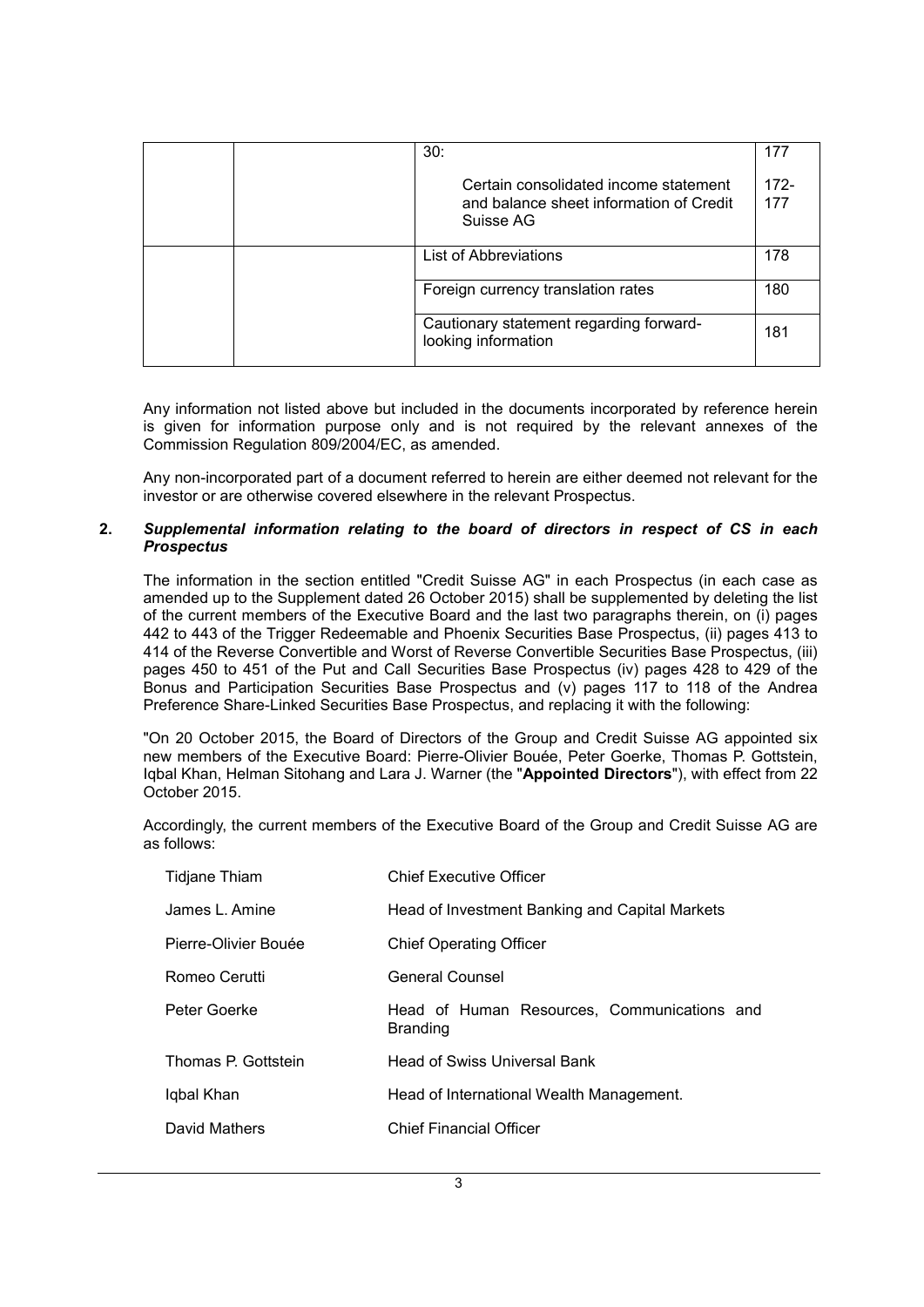|  | 30:                                                                                           | 177            |
|--|-----------------------------------------------------------------------------------------------|----------------|
|  | Certain consolidated income statement<br>and balance sheet information of Credit<br>Suisse AG | $172 -$<br>177 |
|  | List of Abbreviations                                                                         | 178            |
|  | Foreign currency translation rates                                                            | 180            |
|  | Cautionary statement regarding forward-<br>looking information                                | 181            |

Any information not listed above but included in the documents incorporated by reference herein is given for information purpose only and is not required by the relevant annexes of the Commission Regulation 809/2004/EC, as amended.

Any non-incorporated part of a document referred to herein are either deemed not relevant for the investor or are otherwise covered elsewhere in the relevant Prospectus.

### **2.** *Supplemental information relating to the board of directors in respect of CS in each Prospectus*

The information in the section entitled "Credit Suisse AG" in each Prospectus (in each case as amended up to the Supplement dated 26 October 2015) shall be supplemented by deleting the list of the current members of the Executive Board and the last two paragraphs therein, on (i) pages 442 to 443 of the Trigger Redeemable and Phoenix Securities Base Prospectus, (ii) pages 413 to 414 of the Reverse Convertible and Worst of Reverse Convertible Securities Base Prospectus, (iii) pages 450 to 451 of the Put and Call Securities Base Prospectus (iv) pages 428 to 429 of the Bonus and Participation Securities Base Prospectus and (v) pages 117 to 118 of the Andrea Preference Share-Linked Securities Base Prospectus, and replacing it with the following:

"On 20 October 2015, the Board of Directors of the Group and Credit Suisse AG appointed six new members of the Executive Board: Pierre-Olivier Bouée, Peter Goerke, Thomas P. Gottstein, Iqbal Khan, Helman Sitohang and Lara J. Warner (the "**Appointed Directors**"), with effect from 22 October 2015.

Accordingly, the current members of the Executive Board of the Group and Credit Suisse AG are as follows:

| Tidjane Thiam        | <b>Chief Executive Officer</b>                                 |
|----------------------|----------------------------------------------------------------|
| James L. Amine       | Head of Investment Banking and Capital Markets                 |
| Pierre-Olivier Bouée | <b>Chief Operating Officer</b>                                 |
| Romeo Cerutti        | <b>General Counsel</b>                                         |
| Peter Goerke         | Head of Human Resources, Communications and<br><b>Branding</b> |
| Thomas P. Gottstein  | <b>Head of Swiss Universal Bank</b>                            |
| Iqbal Khan           | Head of International Wealth Management.                       |
| David Mathers        | <b>Chief Financial Officer</b>                                 |
|                      |                                                                |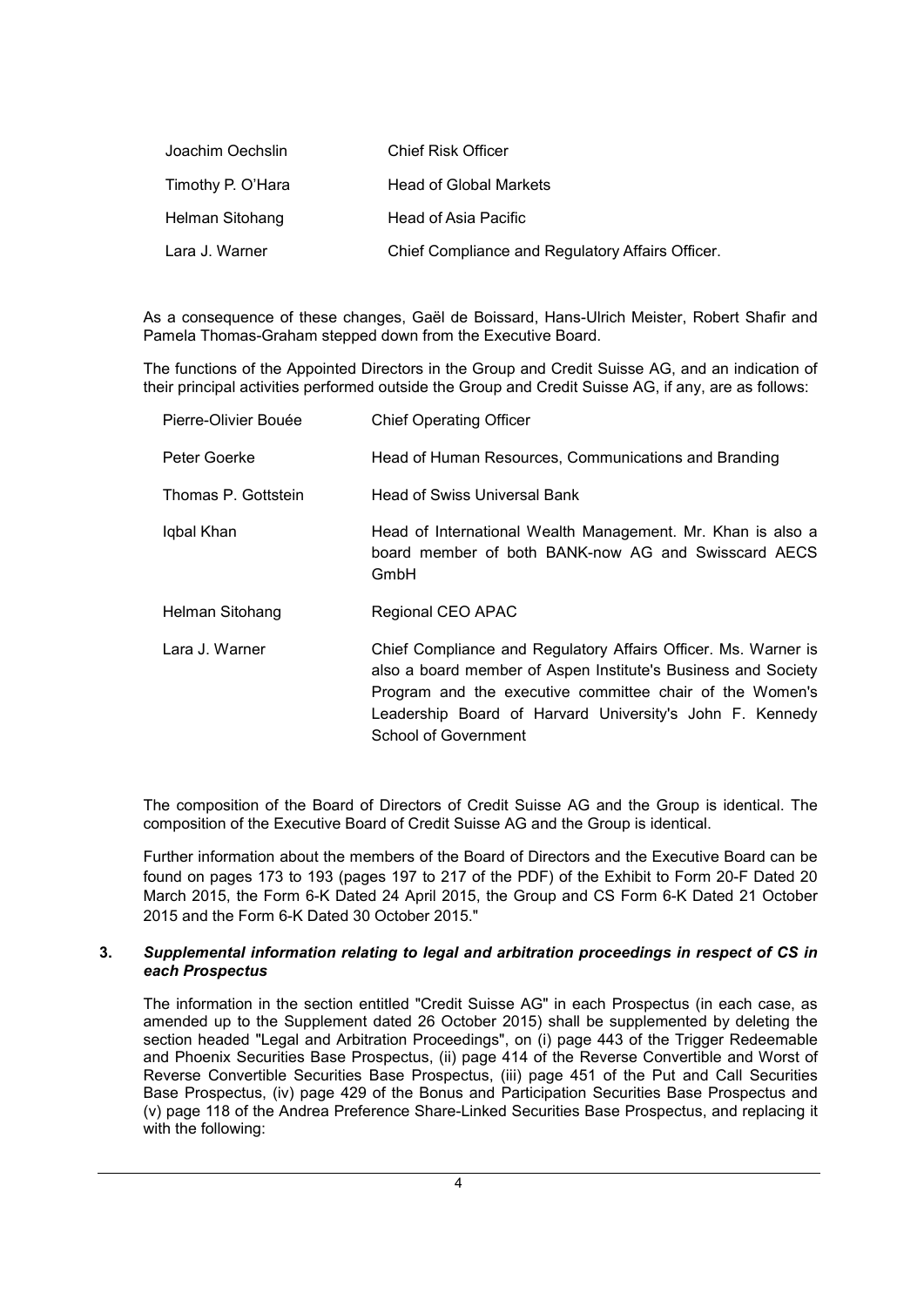| Joachim Oechslin  | <b>Chief Risk Officer</b>                        |
|-------------------|--------------------------------------------------|
| Timothy P. O'Hara | <b>Head of Global Markets</b>                    |
| Helman Sitohang   | Head of Asia Pacific                             |
| Lara J. Warner    | Chief Compliance and Regulatory Affairs Officer. |

As a consequence of these changes, Gaël de Boissard, Hans-Ulrich Meister, Robert Shafir and Pamela Thomas-Graham stepped down from the Executive Board.

The functions of the Appointed Directors in the Group and Credit Suisse AG, and an indication of their principal activities performed outside the Group and Credit Suisse AG, if any, are as follows:

| Pierre-Olivier Bouée | <b>Chief Operating Officer</b>                                                                                                                                                                                                                                                  |
|----------------------|---------------------------------------------------------------------------------------------------------------------------------------------------------------------------------------------------------------------------------------------------------------------------------|
| Peter Goerke         | Head of Human Resources, Communications and Branding                                                                                                                                                                                                                            |
| Thomas P. Gottstein  | <b>Head of Swiss Universal Bank</b>                                                                                                                                                                                                                                             |
| Iqbal Khan           | Head of International Wealth Management. Mr. Khan is also a<br>board member of both BANK-now AG and Swisscard AECS<br>GmbH                                                                                                                                                      |
| Helman Sitohang      | Regional CEO APAC                                                                                                                                                                                                                                                               |
| Lara J. Warner       | Chief Compliance and Regulatory Affairs Officer. Ms. Warner is<br>also a board member of Aspen Institute's Business and Society<br>Program and the executive committee chair of the Women's<br>Leadership Board of Harvard University's John F. Kennedy<br>School of Government |

The composition of the Board of Directors of Credit Suisse AG and the Group is identical. The composition of the Executive Board of Credit Suisse AG and the Group is identical.

Further information about the members of the Board of Directors and the Executive Board can be found on pages 173 to 193 (pages 197 to 217 of the PDF) of the Exhibit to Form 20-F Dated 20 March 2015, the Form 6-K Dated 24 April 2015, the Group and CS Form 6-K Dated 21 October 2015 and the Form 6-K Dated 30 October 2015."

## **3.** *Supplemental information relating to legal and arbitration proceedings in respect of CS in each Prospectus*

The information in the section entitled "Credit Suisse AG" in each Prospectus (in each case, as amended up to the Supplement dated 26 October 2015) shall be supplemented by deleting the section headed "Legal and Arbitration Proceedings", on (i) page 443 of the Trigger Redeemable and Phoenix Securities Base Prospectus, (ii) page 414 of the Reverse Convertible and Worst of Reverse Convertible Securities Base Prospectus, (iii) page 451 of the Put and Call Securities Base Prospectus, (iv) page 429 of the Bonus and Participation Securities Base Prospectus and (v) page 118 of the Andrea Preference Share-Linked Securities Base Prospectus, and replacing it with the following: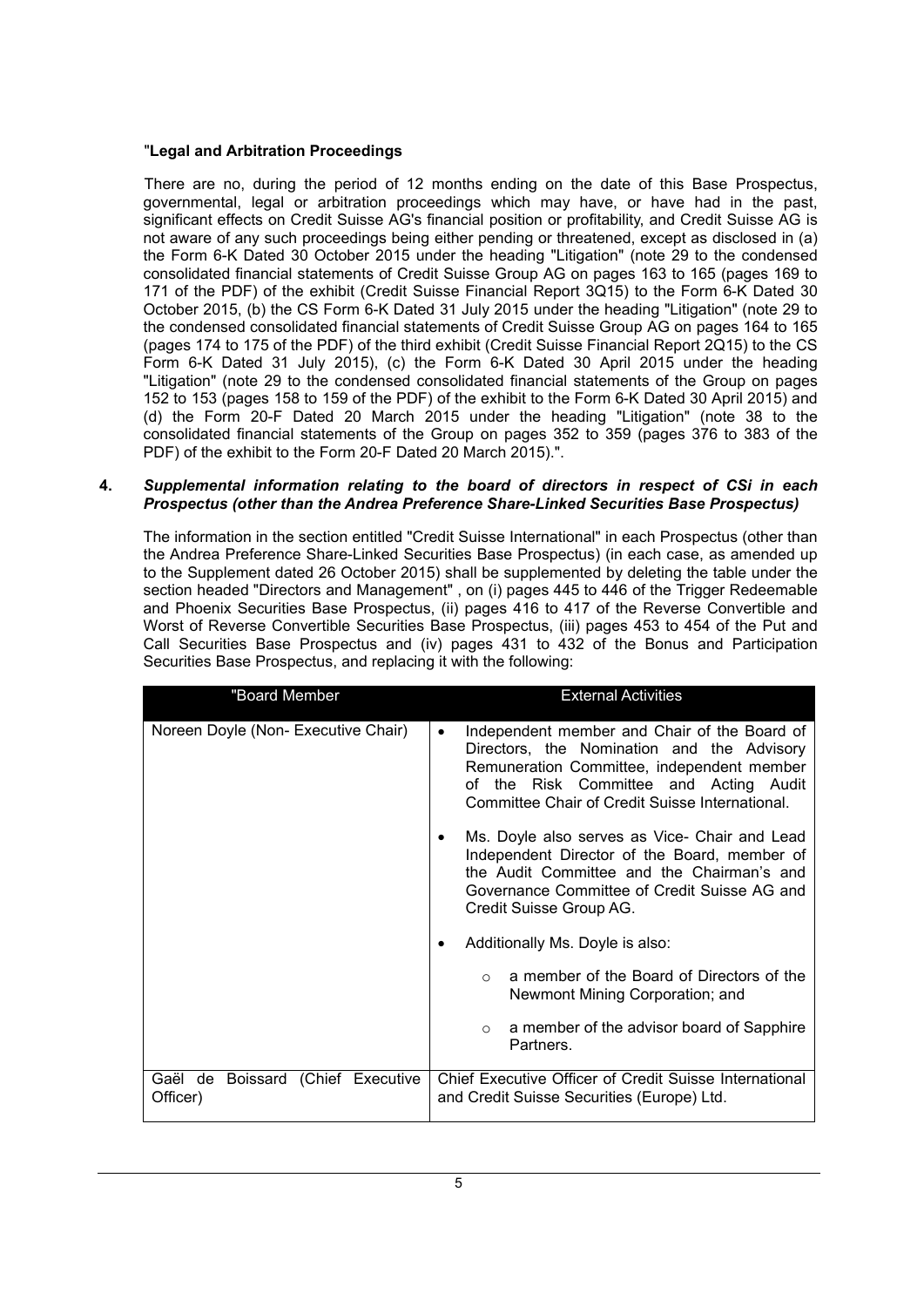# "**Legal and Arbitration Proceedings**

There are no, during the period of 12 months ending on the date of this Base Prospectus, governmental, legal or arbitration proceedings which may have, or have had in the past, significant effects on Credit Suisse AG's financial position or profitability, and Credit Suisse AG is not aware of any such proceedings being either pending or threatened, except as disclosed in (a) the Form 6-K Dated 30 October 2015 under the heading "Litigation" (note 29 to the condensed consolidated financial statements of Credit Suisse Group AG on pages 163 to 165 (pages 169 to 171 of the PDF) of the exhibit (Credit Suisse Financial Report 3Q15) to the Form 6-K Dated 30 October 2015, (b) the CS Form 6-K Dated 31 July 2015 under the heading "Litigation" (note 29 to the condensed consolidated financial statements of Credit Suisse Group AG on pages 164 to 165 (pages 174 to 175 of the PDF) of the third exhibit (Credit Suisse Financial Report 2Q15) to the CS Form 6-K Dated 31 July 2015), (c) the Form 6-K Dated 30 April 2015 under the heading "Litigation" (note 29 to the condensed consolidated financial statements of the Group on pages 152 to 153 (pages 158 to 159 of the PDF) of the exhibit to the Form 6-K Dated 30 April 2015) and (d) the Form 20-F Dated 20 March 2015 under the heading "Litigation" (note 38 to the consolidated financial statements of the Group on pages 352 to 359 (pages 376 to 383 of the PDF) of the exhibit to the Form 20-F Dated 20 March 2015).".

#### **4.** *Supplemental information relating to the board of directors in respect of CSi in each Prospectus (other than the Andrea Preference Share-Linked Securities Base Prospectus)*

The information in the section entitled "Credit Suisse International" in each Prospectus (other than the Andrea Preference Share-Linked Securities Base Prospectus) (in each case, as amended up to the Supplement dated 26 October 2015) shall be supplemented by deleting the table under the section headed "Directors and Management" , on (i) pages 445 to 446 of the Trigger Redeemable and Phoenix Securities Base Prospectus, (ii) pages 416 to 417 of the Reverse Convertible and Worst of Reverse Convertible Securities Base Prospectus, (iii) pages 453 to 454 of the Put and Call Securities Base Prospectus and (iv) pages 431 to 432 of the Bonus and Participation Securities Base Prospectus, and replacing it with the following:

| "Board Member                                 | <b>External Activities</b>                                                                                                                                                                                                                         |
|-----------------------------------------------|----------------------------------------------------------------------------------------------------------------------------------------------------------------------------------------------------------------------------------------------------|
| Noreen Doyle (Non- Executive Chair)           | Independent member and Chair of the Board of<br>$\bullet$<br>Directors, the Nomination and the Advisory<br>Remuneration Committee, independent member<br>of the Risk Committee and Acting Audit<br>Committee Chair of Credit Suisse International. |
|                                               | Ms. Doyle also serves as Vice- Chair and Lead<br>Independent Director of the Board, member of<br>the Audit Committee and the Chairman's and<br>Governance Committee of Credit Suisse AG and<br>Credit Suisse Group AG.                             |
|                                               | Additionally Ms. Doyle is also:                                                                                                                                                                                                                    |
|                                               | a member of the Board of Directors of the<br>$\Omega$<br>Newmont Mining Corporation; and                                                                                                                                                           |
|                                               | a member of the advisor board of Sapphire<br>$\circ$<br>Partners.                                                                                                                                                                                  |
| Gaël de Boissard (Chief Executive<br>Officer) | Chief Executive Officer of Credit Suisse International<br>and Credit Suisse Securities (Europe) Ltd.                                                                                                                                               |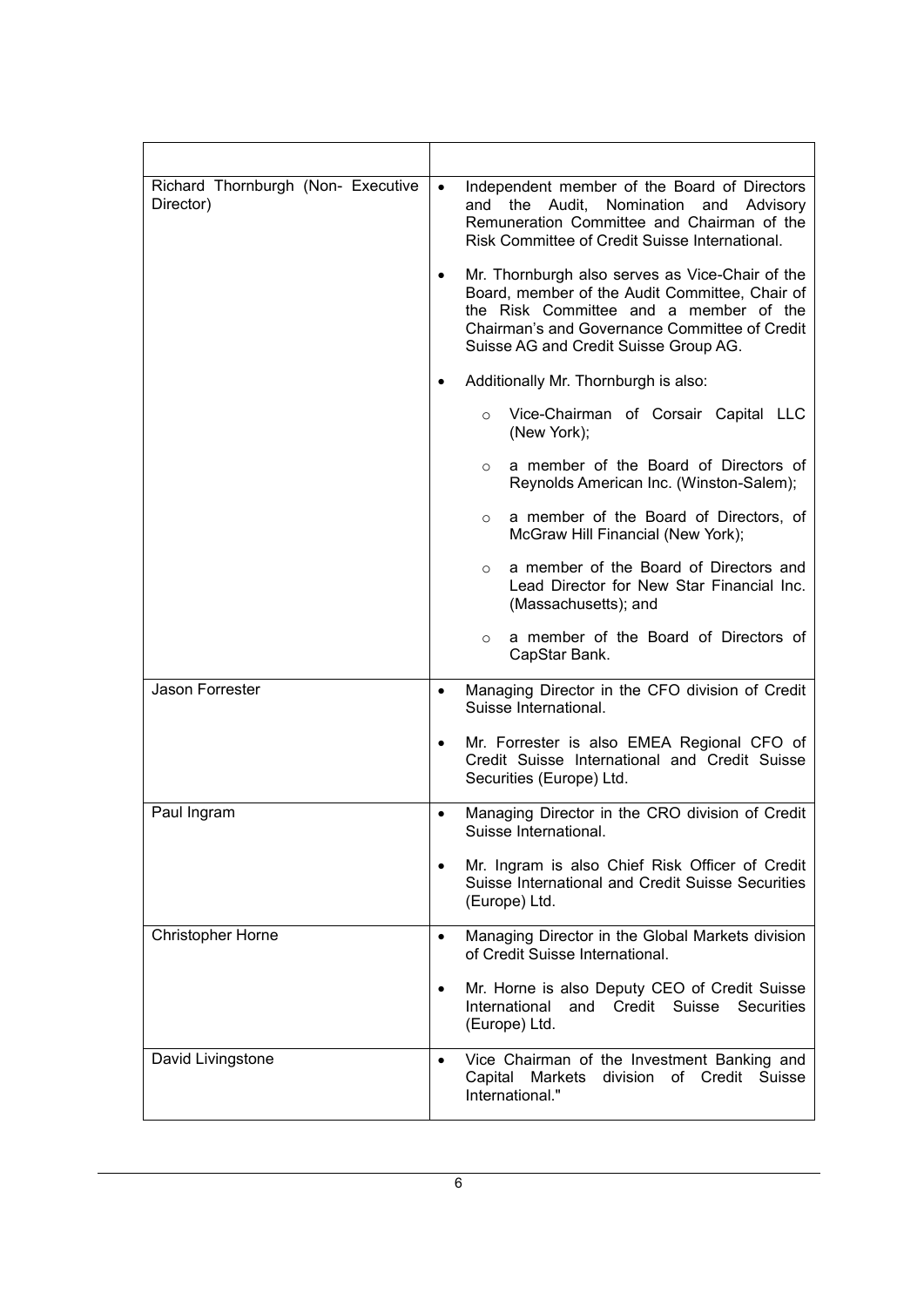| Richard Thornburgh (Non- Executive<br>Director) | Independent member of the Board of Directors<br>$\bullet$<br>and the Audit, Nomination and Advisory<br>Remuneration Committee and Chairman of the<br>Risk Committee of Credit Suisse International.                                                |
|-------------------------------------------------|----------------------------------------------------------------------------------------------------------------------------------------------------------------------------------------------------------------------------------------------------|
|                                                 | Mr. Thornburgh also serves as Vice-Chair of the<br>$\bullet$<br>Board, member of the Audit Committee, Chair of<br>the Risk Committee and a member of the<br>Chairman's and Governance Committee of Credit<br>Suisse AG and Credit Suisse Group AG. |
|                                                 | Additionally Mr. Thornburgh is also:                                                                                                                                                                                                               |
|                                                 | Vice-Chairman of Corsair Capital LLC<br>$\circ$<br>(New York);                                                                                                                                                                                     |
|                                                 | a member of the Board of Directors of<br>$\circ$<br>Reynolds American Inc. (Winston-Salem);                                                                                                                                                        |
|                                                 | a member of the Board of Directors, of<br>$\circ$<br>McGraw Hill Financial (New York);                                                                                                                                                             |
|                                                 | a member of the Board of Directors and<br>$\circ$<br>Lead Director for New Star Financial Inc.<br>(Massachusetts); and                                                                                                                             |
|                                                 | a member of the Board of Directors of<br>$\circ$<br>CapStar Bank.                                                                                                                                                                                  |
| Jason Forrester                                 | Managing Director in the CFO division of Credit<br>$\bullet$<br>Suisse International.                                                                                                                                                              |
|                                                 | Mr. Forrester is also EMEA Regional CFO of<br>٠<br>Credit Suisse International and Credit Suisse<br>Securities (Europe) Ltd.                                                                                                                       |
| Paul Ingram                                     | Managing Director in the CRO division of Credit<br>٠<br>Suisse International.                                                                                                                                                                      |
|                                                 | Mr. Ingram is also Chief Risk Officer of Credit<br>Suisse International and Credit Suisse Securities<br>(Europe) Ltd.                                                                                                                              |
| <b>Christopher Horne</b>                        | Managing Director in the Global Markets division<br>$\bullet$<br>of Credit Suisse International.                                                                                                                                                   |
|                                                 | Mr. Horne is also Deputy CEO of Credit Suisse<br>٠<br>and Credit Suisse<br>International<br><b>Securities</b><br>(Europe) Ltd.                                                                                                                     |
| David Livingstone                               | Vice Chairman of the Investment Banking and<br>$\bullet$<br>Capital Markets division of Credit<br>Suisse<br>International."                                                                                                                        |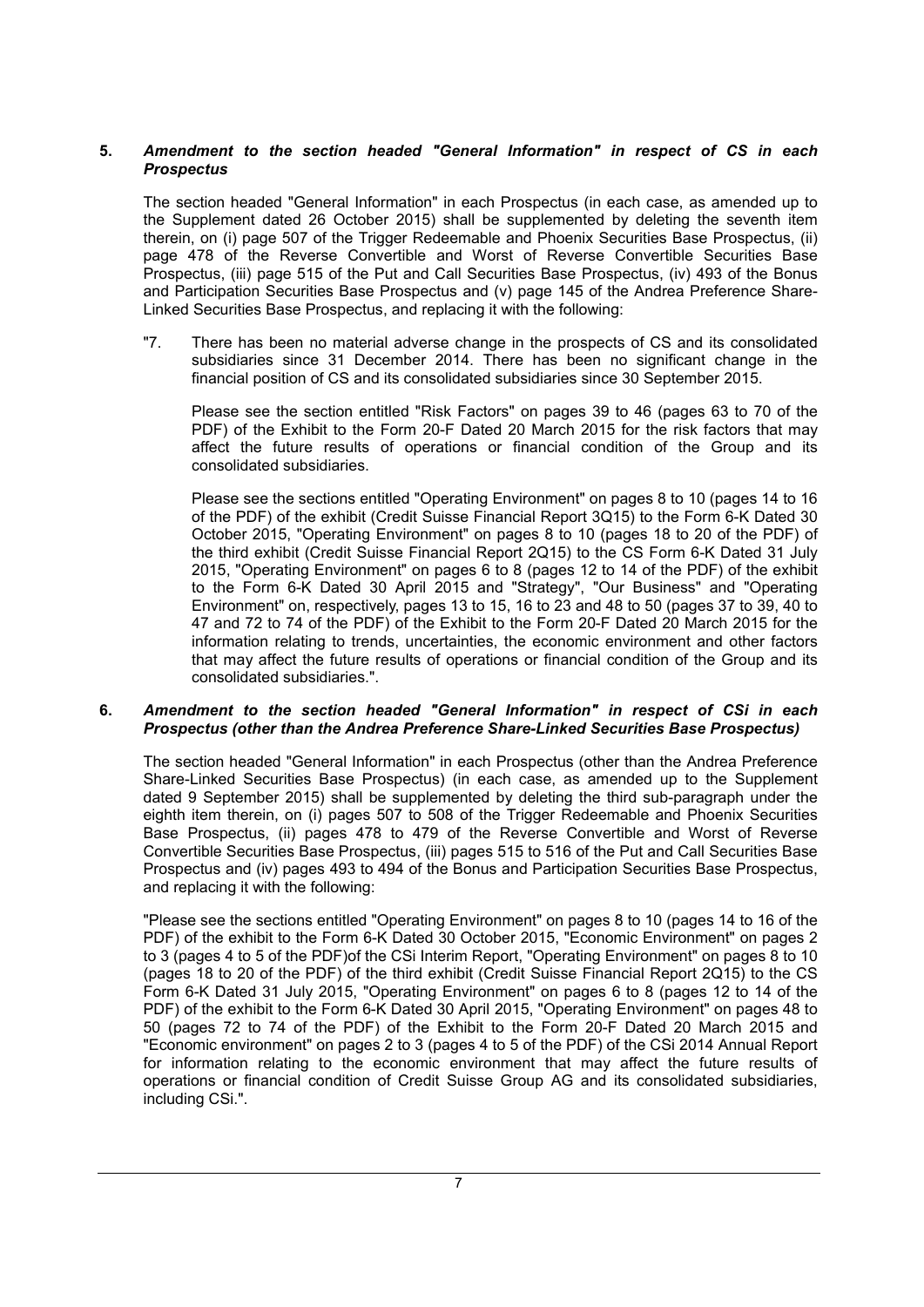# **5.** *Amendment to the section headed "General Information" in respect of CS in each Prospectus*

The section headed "General Information" in each Prospectus (in each case, as amended up to the Supplement dated 26 October 2015) shall be supplemented by deleting the seventh item therein, on (i) page 507 of the Trigger Redeemable and Phoenix Securities Base Prospectus, (ii) page 478 of the Reverse Convertible and Worst of Reverse Convertible Securities Base Prospectus, (iii) page 515 of the Put and Call Securities Base Prospectus, (iv) 493 of the Bonus and Participation Securities Base Prospectus and (v) page 145 of the Andrea Preference Share-Linked Securities Base Prospectus, and replacing it with the following:

"7. There has been no material adverse change in the prospects of CS and its consolidated subsidiaries since 31 December 2014. There has been no significant change in the financial position of CS and its consolidated subsidiaries since 30 September 2015.

Please see the section entitled "Risk Factors" on pages 39 to 46 (pages 63 to 70 of the PDF) of the Exhibit to the Form 20-F Dated 20 March 2015 for the risk factors that may affect the future results of operations or financial condition of the Group and its consolidated subsidiaries.

Please see the sections entitled "Operating Environment" on pages 8 to 10 (pages 14 to 16 of the PDF) of the exhibit (Credit Suisse Financial Report 3Q15) to the Form 6-K Dated 30 October 2015, "Operating Environment" on pages 8 to 10 (pages 18 to 20 of the PDF) of the third exhibit (Credit Suisse Financial Report 2Q15) to the CS Form 6-K Dated 31 July 2015, "Operating Environment" on pages 6 to 8 (pages 12 to 14 of the PDF) of the exhibit to the Form 6-K Dated 30 April 2015 and "Strategy", "Our Business" and "Operating Environment" on, respectively, pages 13 to 15, 16 to 23 and 48 to 50 (pages 37 to 39, 40 to 47 and 72 to 74 of the PDF) of the Exhibit to the Form 20-F Dated 20 March 2015 for the information relating to trends, uncertainties, the economic environment and other factors that may affect the future results of operations or financial condition of the Group and its consolidated subsidiaries.".

### **6.** *Amendment to the section headed "General Information" in respect of CSi in each Prospectus (other than the Andrea Preference Share-Linked Securities Base Prospectus)*

The section headed "General Information" in each Prospectus (other than the Andrea Preference Share-Linked Securities Base Prospectus) (in each case, as amended up to the Supplement dated 9 September 2015) shall be supplemented by deleting the third sub-paragraph under the eighth item therein, on (i) pages 507 to 508 of the Trigger Redeemable and Phoenix Securities Base Prospectus, (ii) pages 478 to 479 of the Reverse Convertible and Worst of Reverse Convertible Securities Base Prospectus, (iii) pages 515 to 516 of the Put and Call Securities Base Prospectus and (iv) pages 493 to 494 of the Bonus and Participation Securities Base Prospectus, and replacing it with the following:

"Please see the sections entitled "Operating Environment" on pages 8 to 10 (pages 14 to 16 of the PDF) of the exhibit to the Form 6-K Dated 30 October 2015, "Economic Environment" on pages 2 to 3 (pages 4 to 5 of the PDF)of the CSi Interim Report, "Operating Environment" on pages 8 to 10 (pages 18 to 20 of the PDF) of the third exhibit (Credit Suisse Financial Report 2Q15) to the CS Form 6-K Dated 31 July 2015, "Operating Environment" on pages 6 to 8 (pages 12 to 14 of the PDF) of the exhibit to the Form 6-K Dated 30 April 2015, "Operating Environment" on pages 48 to 50 (pages 72 to 74 of the PDF) of the Exhibit to the Form 20-F Dated 20 March 2015 and "Economic environment" on pages 2 to 3 (pages 4 to 5 of the PDF) of the CSi 2014 Annual Report for information relating to the economic environment that may affect the future results of operations or financial condition of Credit Suisse Group AG and its consolidated subsidiaries, including CSi.".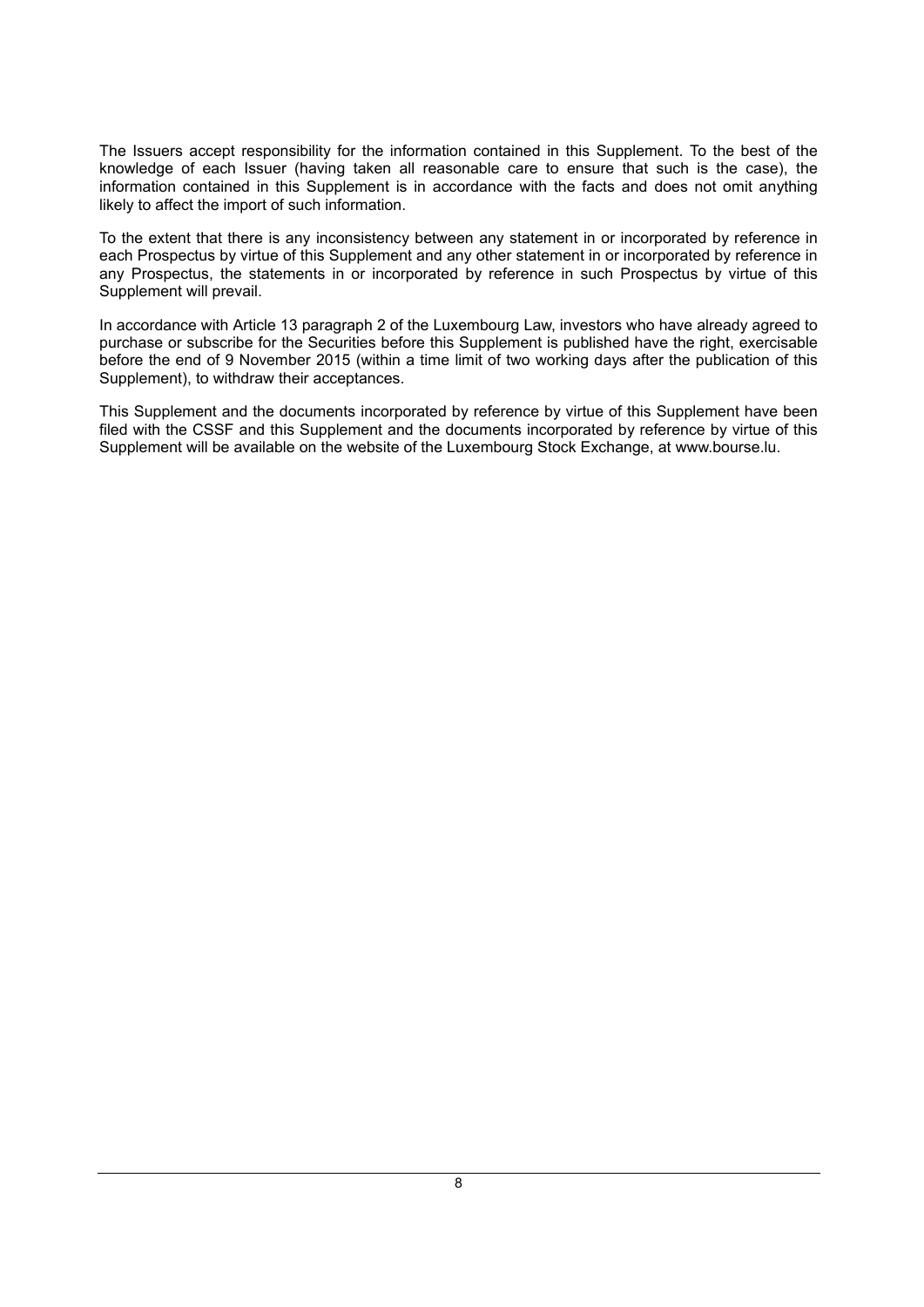The Issuers accept responsibility for the information contained in this Supplement. To the best of the knowledge of each Issuer (having taken all reasonable care to ensure that such is the case), the information contained in this Supplement is in accordance with the facts and does not omit anything likely to affect the import of such information.

To the extent that there is any inconsistency between any statement in or incorporated by reference in each Prospectus by virtue of this Supplement and any other statement in or incorporated by reference in any Prospectus, the statements in or incorporated by reference in such Prospectus by virtue of this Supplement will prevail.

In accordance with Article 13 paragraph 2 of the Luxembourg Law, investors who have already agreed to purchase or subscribe for the Securities before this Supplement is published have the right, exercisable before the end of 9 November 2015 (within a time limit of two working days after the publication of this Supplement), to withdraw their acceptances.

This Supplement and the documents incorporated by reference by virtue of this Supplement have been filed with the CSSF and this Supplement and the documents incorporated by reference by virtue of this Supplement will be available on the website of the Luxembourg Stock Exchange, at [www.bourse.lu.](http://www.bourse.lu/)